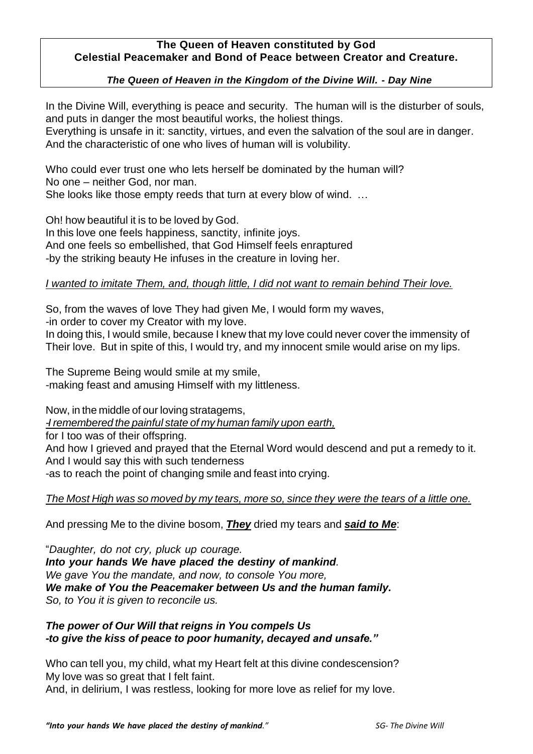### **The Queen of Heaven constituted by God Celestial Peacemaker and Bond of Peace between Creator and Creature.**

#### *The Queen of Heaven in the Kingdom of the Divine Will. - Day Nine*

In the Divine Will, everything is peace and security. The human will is the disturber of souls, and puts in danger the most beautiful works, the holiest things.

Everything is unsafe in it: sanctity, virtues, and even the salvation of the soul are in danger. And the characteristic of one who lives of human will is volubility.

Who could ever trust one who lets herself be dominated by the human will? No one – neither God, nor man. She looks like those empty reeds that turn at every blow of wind. …

Oh! how beautiful it is to be loved by God. In this love one feels happiness, sanctity, infinite joys. And one feels so embellished, that God Himself feels enraptured -by the striking beauty He infuses in the creature in loving her.

#### *I wanted to imitate Them, and, though little, I did not want to remain behind Their love.*

So, from the waves of love They had given Me, I would form my waves,

-in order to cover my Creator with my love.

In doing this, I would smile, because I knew that my love could never cover the immensity of Their love. But in spite of this, I would try, and my innocent smile would arise on my lips.

The Supreme Being would smile at my smile, -making feast and amusing Himself with my littleness.

Now, in the middle of our loving stratagems,

*-I remembered the painful state of my human family upon earth,*

for I too was of their offspring.

And how I grieved and prayed that the Eternal Word would descend and put a remedy to it. And I would say this with such tenderness

-as to reach the point of changing smile and feast into crying.

*The Most High was so moved by my tears, more so, since they were the tears of a little one.*

And pressing Me to the divine bosom, *They* dried my tears and *said to Me*:

"*Daughter, do not cry, pluck up courage. Into your hands We have placed the destiny of mankind. We gave You the mandate, and now, to console You more, We make of You the Peacemaker between Us and the human family. So, to You it is given to reconcile us.*

## *The power of Our Will that reigns in You compels Us -to give the kiss of peace to poor humanity, decayed and unsafe."*

Who can tell you, my child, what my Heart felt at this divine condescension? My love was so great that I felt faint. And, in delirium, I was restless, looking for more love as relief for my love.